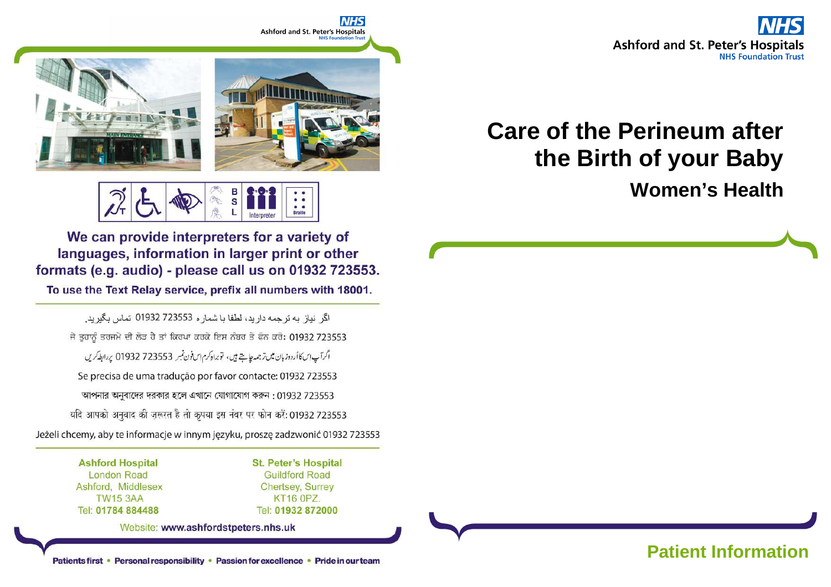

# **Care of the Perineum after the Birth of your Baby**

**Women's Health**



В  $\overline{\mathbf{s}}$ **Braille** 

We can provide interpreters for a variety of languages, information in larger print or other formats (e.g. audio) - please call us on 01932 723553.

To use the Text Relay service, prefix all numbers with 18001.

اگر نياز به ترجمه داريد، لطفا يا شمار ه 723553 01932 تماس بگيريد. ਜੇ ਤੁਹਾਨੂੰ ਤਰਜਮੇ ਦੀ ਲੋੜ ਹੈ ਤਾਂ ਕਿਰਪਾ ਕਰਕੇ ਇਸ ਨੰਬਰ ਤੇ ਫੋਨ ਕਰੋ: 01932 723553 اگرآپ این کا أردوزبان میں ترجمہ چاہتے ہیں، توبراہ کرم ایں فون نمبر 723553 01932 پر ابطہ کریں Se precisa de uma tradução por favor contacte: 01932 723553 আপনার অনুবাদের দরকার হলে এখানে যোগাযোগ করুন: 01932 723553 यदि आपको अनुवाद की ज़रूरत है तो कृपया इस नंबर पर फोन करें: 01932 723553 Jeżeli chcemy, aby te informacje w innym języku, proszę zadzwonić 01932 723553

> **Ashford Hospital London Road** Ashford, Middlesex **TW15 3AA** Tel: 01784 884488

**St. Peter's Hospital Guildford Road Chertsey, Surrey KT16 0PZ.** Tel: 01932 872000

Website: www.ashfordstpeters.nhs.uk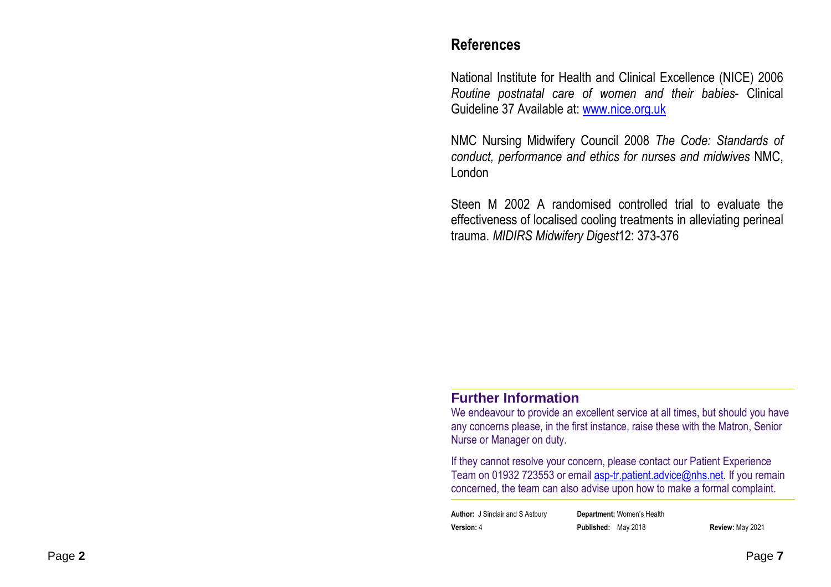#### **References**

National Institute for Health and Clinical Excellence (NICE) 2006 *Routine postnatal care of women and their babies*- Clinical Guideline 37 Available at: www.nice.org.uk

NMC Nursing Midwifery Council 2008 *The Code: Standards of conduct, performance and ethics for nurses and midwives* NMC, London

Steen M 2002 A randomised controlled trial to evaluate the effectiveness of localised cooling treatments in alleviating perineal trauma. *MIDIRS Midwifery Digest*12: 373-376

#### **Further Information**

 We endeavour to provide an excellent service at all times, but should you have any concerns please, in the first instance, raise these with the Matron, Senior Nurse or Manager on duty.

If they cannot resolve your concern, please contact our Patient Experience Team on 01932 723553 or email **asp-tr.patient.advice@nhs.net**. If you remain concerned, the team can also advise upon how to make a formal complaint.

**Author:** J Sinclair and S Astbury **Department:** Women's Health**Version:** 4 **Published:** May 2018 **Review:** May 2021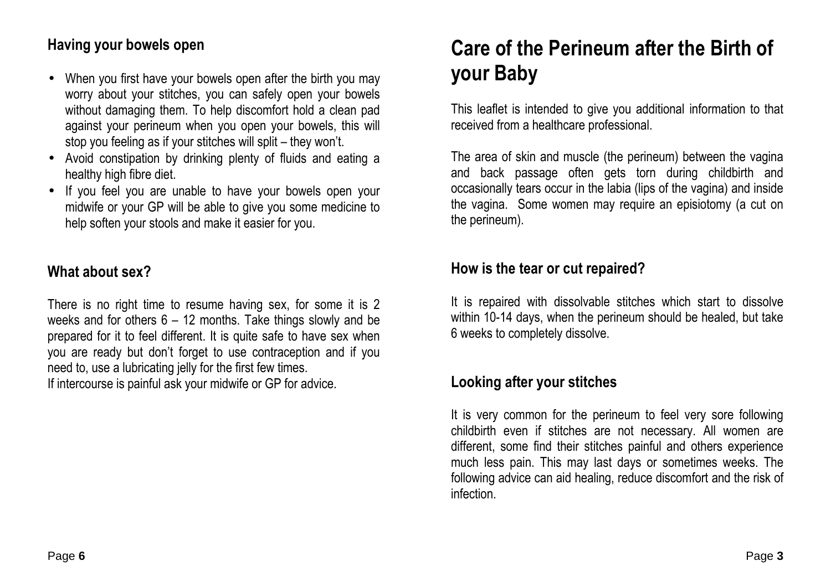#### **Having your bowels open**

- When you first have your bowels open after the birth you may worry about your stitches, you can safely open your bowels without damaging them. To help discomfort hold a clean pad against your perineum when you open your bowels, this will stop you feeling as if your stitches will split – they won't.
- Avoid constipation by drinking plenty of fluids and eating a healthy high fibre diet.
- If you feel you are unable to have your bowels open your midwife or your GP will be able to give you some medicine to help soften your stools and make it easier for you.

### **What about sex?**

There is no right time to resume having sex, for some it is 2 weeks and for others 6 – 12 months. Take things slowly and be prepared for it to feel different. It is quite safe to have sex when you are ready but don't forget to use contraception and if you need to, use a lubricating jelly for the first few times. If intercourse is painful ask your midwife or GP for advice.

## **Care of the Perineum after the Birth of your Baby**

This leaflet is intended to give you additional information to that received from a healthcare professional.

The area of skin and muscle (the perineum) between the vagina and back passage often gets torn during childbirth and occasionally tears occur in the labia (lips of the vagina) and inside the vagina. Some women may require an episiotomy (a cut on the perineum).

#### **How is the tear or cut repaired?**

It is repaired with dissolvable stitches which start to dissolve within 10-14 days, when the perineum should be healed, but take 6 weeks to completely dissolve.

#### **Looking after your stitches**

It is very common for the perineum to feel very sore following childbirth even if stitches are not necessary. All women are different, some find their stitches painful and others experience much less pain. This may last days or sometimes weeks. The following advice can aid healing, reduce discomfort and the risk of infection.